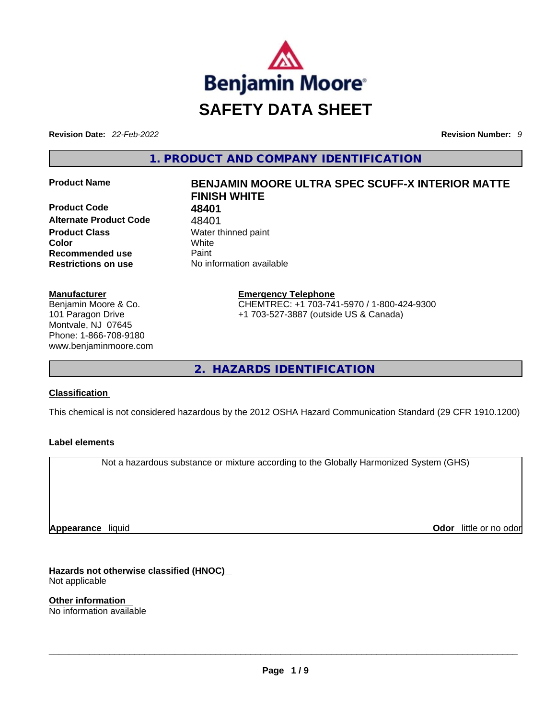

**Revision Date:** *22-Feb-2022* **Revision Number:** *9*

**1. PRODUCT AND COMPANY IDENTIFICATION** 

**Product Code 48401 Alternate Product Code** 48401 **Product Class Water thinned paint Color** White **Recommended use Paint Restrictions on use** No information available

#### **Manufacturer**

Benjamin Moore & Co. 101 Paragon Drive Montvale, NJ 07645 Phone: 1-866-708-9180 www.benjaminmoore.com

## **Product Name BENJAMIN MOORE ULTRA SPEC SCUFF-X INTERIOR MATTE FINISH WHITE**

**Emergency Telephone** CHEMTREC: +1 703-741-5970 / 1-800-424-9300 +1 703-527-3887 (outside US & Canada)

**2. HAZARDS IDENTIFICATION** 

#### **Classification**

This chemical is not considered hazardous by the 2012 OSHA Hazard Communication Standard (29 CFR 1910.1200)

#### **Label elements**

Not a hazardous substance or mixture according to the Globally Harmonized System (GHS)

**Appearance** liquid

**Odor** little or no odor

**Hazards not otherwise classified (HNOC)**  Not applicable

**Other information**  No information available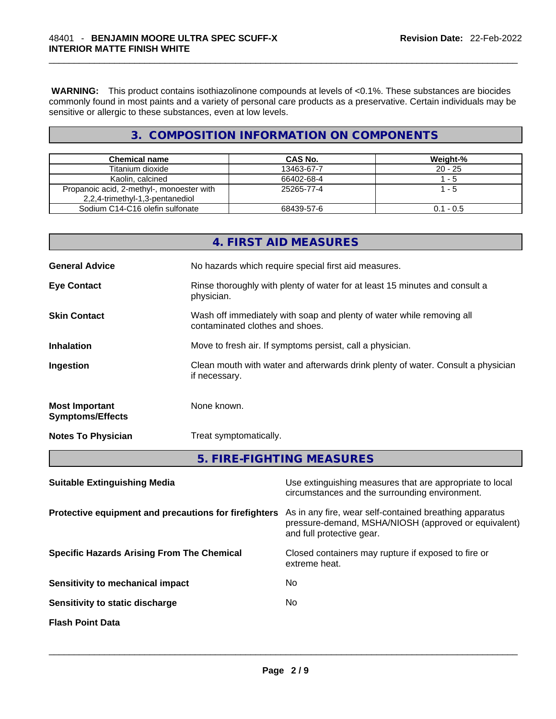**WARNING:** This product contains isothiazolinone compounds at levels of <0.1%. These substances are biocides commonly found in most paints and a variety of personal care products as a preservative. Certain individuals may be sensitive or allergic to these substances, even at low levels.

### **3. COMPOSITION INFORMATION ON COMPONENTS**

| <b>Chemical name</b>                      | CAS No.    | Weight-%    |
|-------------------------------------------|------------|-------------|
| Titanium dioxide                          | 13463-67-7 | $20 - 25$   |
| Kaolin, calcined                          | 66402-68-4 | $1 - 5$     |
| Propanoic acid, 2-methyl-, monoester with | 25265-77-4 | 1 - 5       |
| 2,2,4-trimethyl-1,3-pentanediol           |            |             |
| Sodium C14-C16 olefin sulfonate           | 68439-57-6 | $0.1 - 0.5$ |

|                                                  | 4. FIRST AID MEASURES                                                                                    |
|--------------------------------------------------|----------------------------------------------------------------------------------------------------------|
| <b>General Advice</b>                            | No hazards which require special first aid measures.                                                     |
| <b>Eye Contact</b>                               | Rinse thoroughly with plenty of water for at least 15 minutes and consult a<br>physician.                |
| <b>Skin Contact</b>                              | Wash off immediately with soap and plenty of water while removing all<br>contaminated clothes and shoes. |
| <b>Inhalation</b>                                | Move to fresh air. If symptoms persist, call a physician.                                                |
| Ingestion                                        | Clean mouth with water and afterwards drink plenty of water. Consult a physician<br>if necessary.        |
| <b>Most Important</b><br><b>Symptoms/Effects</b> | None known.                                                                                              |
| <b>Notes To Physician</b>                        | Treat symptomatically.                                                                                   |
|                                                  | 5. FIRE-FIGHTING MEASURES                                                                                |

| <b>Suitable Extinguishing Media</b>                   | Use extinguishing measures that are appropriate to local<br>circumstances and the surrounding environment.                                   |
|-------------------------------------------------------|----------------------------------------------------------------------------------------------------------------------------------------------|
| Protective equipment and precautions for firefighters | As in any fire, wear self-contained breathing apparatus<br>pressure-demand, MSHA/NIOSH (approved or equivalent)<br>and full protective gear. |
| <b>Specific Hazards Arising From The Chemical</b>     | Closed containers may rupture if exposed to fire or<br>extreme heat.                                                                         |
| Sensitivity to mechanical impact                      | No                                                                                                                                           |
| Sensitivity to static discharge                       | No.                                                                                                                                          |
| <b>Flash Point Data</b>                               |                                                                                                                                              |
|                                                       |                                                                                                                                              |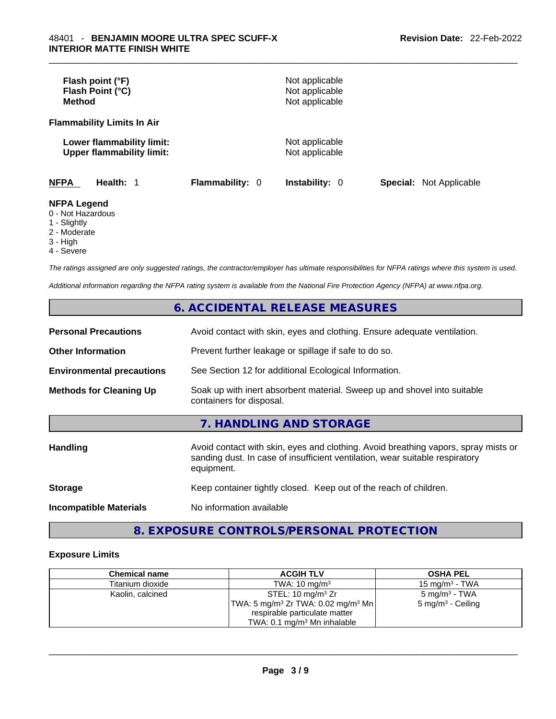| Flash point (°F)<br>Flash Point (°C)<br><b>Method</b>         |                        | Not applicable<br>Not applicable<br>Not applicable |                                |
|---------------------------------------------------------------|------------------------|----------------------------------------------------|--------------------------------|
| <b>Flammability Limits In Air</b>                             |                        |                                                    |                                |
| Lower flammability limit:<br><b>Upper flammability limit:</b> |                        | Not applicable<br>Not applicable                   |                                |
| <b>NFPA</b><br>Health: 1                                      | <b>Flammability: 0</b> | <b>Instability: 0</b>                              | <b>Special: Not Applicable</b> |
| <b>NFPA Legend</b><br>0 - Not Hazardous<br>1 - Slightly       |                        |                                                    |                                |

- 
- 2 Moderate 3 - High
- 4 Severe

*The ratings assigned are only suggested ratings, the contractor/employer has ultimate responsibilities for NFPA ratings where this system is used.* 

*Additional information regarding the NFPA rating system is available from the National Fire Protection Agency (NFPA) at www.nfpa.org.* 

#### **6. ACCIDENTAL RELEASE MEASURES**

| <b>Personal Precautions</b>      | Avoid contact with skin, eyes and clothing. Ensure adequate ventilation.                                                                                                         |
|----------------------------------|----------------------------------------------------------------------------------------------------------------------------------------------------------------------------------|
| <b>Other Information</b>         | Prevent further leakage or spillage if safe to do so.                                                                                                                            |
| <b>Environmental precautions</b> | See Section 12 for additional Ecological Information.                                                                                                                            |
| <b>Methods for Cleaning Up</b>   | Soak up with inert absorbent material. Sweep up and shovel into suitable<br>containers for disposal.                                                                             |
|                                  | 7. HANDLING AND STORAGE                                                                                                                                                          |
| <b>Handling</b>                  | Avoid contact with skin, eyes and clothing. Avoid breathing vapors, spray mists or<br>sanding dust. In case of insufficient ventilation, wear suitable respiratory<br>equipment. |
| <b>Storage</b>                   | Keep container tightly closed. Keep out of the reach of children.                                                                                                                |
| <b>Incompatible Materials</b>    | No information available                                                                                                                                                         |

### **8. EXPOSURE CONTROLS/PERSONAL PROTECTION**

#### **Exposure Limits**

| <b>Chemical name</b> | <b>ACGIH TLV</b>                                            | <b>OSHA PEL</b>              |
|----------------------|-------------------------------------------------------------|------------------------------|
| Titanium dioxide     | TWA: $10 \text{ mg/m}^3$                                    | 15 mg/m $3$ - TWA            |
| Kaolin, calcined     | STEL: 10 mg/m $3$ Zr                                        | 5 mg/m <sup>3</sup> - TWA    |
|                      | 'TWA: 5 mg/m <sup>3</sup> Zr TWA: 0.02 mg/m <sup>3</sup> Mn | $5 \text{ mg/m}^3$ - Ceiling |
|                      | respirable particulate matter                               |                              |
|                      | TWA: $0.1 \text{ mg/m}^3$ Mn inhalable                      |                              |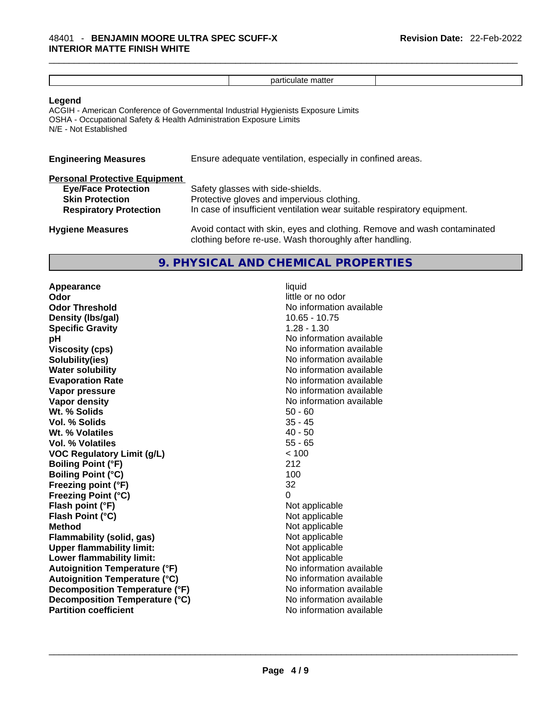|                                                                                                                               | particulate matter                                                                                                                                          |
|-------------------------------------------------------------------------------------------------------------------------------|-------------------------------------------------------------------------------------------------------------------------------------------------------------|
| Legend<br>OSHA - Occupational Safety & Health Administration Exposure Limits<br>N/E - Not Established                         | ACGIH - American Conference of Governmental Industrial Hygienists Exposure Limits                                                                           |
| <b>Engineering Measures</b>                                                                                                   | Ensure adequate ventilation, especially in confined areas.                                                                                                  |
| <b>Personal Protective Equipment</b><br><b>Eye/Face Protection</b><br><b>Skin Protection</b><br><b>Respiratory Protection</b> | Safety glasses with side-shields.<br>Protective gloves and impervious clothing.<br>In case of insufficient ventilation wear suitable respiratory equipment. |
| <b>Hygiene Measures</b>                                                                                                       | Avoid contact with skin, eyes and clothing. Remove and wash contaminated<br>clothing before re-use. Wash thoroughly after handling.                         |

#### **9. PHYSICAL AND CHEMICAL PROPERTIES**

**Appearance** liquid **Odor Odor Odor Odor Odor Odor** *little* **or no odor Odor Threshold** No information available **Density (lbs/gal)** 10.65 - 10.75 **Specific Gravity** 1.28 - 1.30 **pH pH** *No* information available **Viscosity (cps) No information available Solubility(ies)**<br> **No** information available<br> **Water solubility**<br> **Water solubility Evaporation Rate No information available No information available Vapor pressure**  No information available **Vapor pressure No information available Vapor density No information available No information available Wt. % Solids** 50 - 60 **Vol. % Solids** 35 - 45 **Wt. % Volatiles** 40 - 50 **Vol. % Volatiles** 55 - 65 **VOC Regulatory Limit (g/L)** < 100 **Boiling Point (°F) Boiling Point**  $(^{\circ}C)$  100 **Freezing point (°F)** 32 **Freezing Point (°C)** 0 **Flash point (°F)**<br> **Flash Point (°C)**<br> **Flash Point (°C)**<br> **C Flash Point (°C) Method** Not applicable **Flammability (solid, gas)** Not applicable **Upper flammability limit:** Not applicable **Lower flammability limit:** Not applicable **Autoignition Temperature (°F)**<br> **Autoignition Temperature (°C)** No information available **Autoignition Temperature (°C) Decomposition Temperature (°F)** No information available **Decomposition Temperature (°C)**<br> **Partition coefficient Partition available**<br>
No information available **Partition coefficient**No information available \_\_\_\_\_\_\_\_\_\_\_\_\_\_\_\_\_\_\_\_\_\_\_\_\_\_\_\_\_\_\_\_\_\_\_\_\_\_\_\_\_\_\_\_\_\_\_\_\_\_\_\_\_\_\_\_\_\_\_\_\_\_\_\_\_\_\_\_\_\_\_\_\_\_\_\_\_\_\_\_\_\_\_\_\_\_\_\_\_\_\_\_\_

**No information available**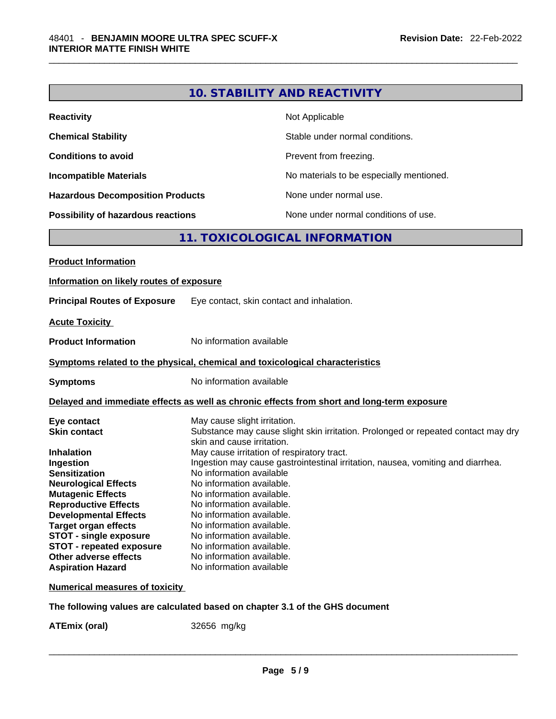|                                                                                                                                                                                                                                                                                                                                                                                                                         |                                                                                                                                                                                                                                                                                                                                                            | <b>10. STABILITY AND REACTIVITY</b>                                                                                                                                                                                |
|-------------------------------------------------------------------------------------------------------------------------------------------------------------------------------------------------------------------------------------------------------------------------------------------------------------------------------------------------------------------------------------------------------------------------|------------------------------------------------------------------------------------------------------------------------------------------------------------------------------------------------------------------------------------------------------------------------------------------------------------------------------------------------------------|--------------------------------------------------------------------------------------------------------------------------------------------------------------------------------------------------------------------|
| Reactivity                                                                                                                                                                                                                                                                                                                                                                                                              |                                                                                                                                                                                                                                                                                                                                                            | Not Applicable                                                                                                                                                                                                     |
| <b>Chemical Stability</b>                                                                                                                                                                                                                                                                                                                                                                                               |                                                                                                                                                                                                                                                                                                                                                            | Stable under normal conditions.                                                                                                                                                                                    |
| <b>Conditions to avoid</b>                                                                                                                                                                                                                                                                                                                                                                                              |                                                                                                                                                                                                                                                                                                                                                            | Prevent from freezing.                                                                                                                                                                                             |
| <b>Incompatible Materials</b>                                                                                                                                                                                                                                                                                                                                                                                           |                                                                                                                                                                                                                                                                                                                                                            | No materials to be especially mentioned.                                                                                                                                                                           |
| <b>Hazardous Decomposition Products</b>                                                                                                                                                                                                                                                                                                                                                                                 |                                                                                                                                                                                                                                                                                                                                                            | None under normal use.                                                                                                                                                                                             |
| Possibility of hazardous reactions                                                                                                                                                                                                                                                                                                                                                                                      |                                                                                                                                                                                                                                                                                                                                                            | None under normal conditions of use.                                                                                                                                                                               |
|                                                                                                                                                                                                                                                                                                                                                                                                                         |                                                                                                                                                                                                                                                                                                                                                            | 11. TOXICOLOGICAL INFORMATION                                                                                                                                                                                      |
| <b>Product Information</b>                                                                                                                                                                                                                                                                                                                                                                                              |                                                                                                                                                                                                                                                                                                                                                            |                                                                                                                                                                                                                    |
| Information on likely routes of exposure                                                                                                                                                                                                                                                                                                                                                                                |                                                                                                                                                                                                                                                                                                                                                            |                                                                                                                                                                                                                    |
| <b>Principal Routes of Exposure</b>                                                                                                                                                                                                                                                                                                                                                                                     |                                                                                                                                                                                                                                                                                                                                                            | Eye contact, skin contact and inhalation.                                                                                                                                                                          |
| <b>Acute Toxicity</b>                                                                                                                                                                                                                                                                                                                                                                                                   |                                                                                                                                                                                                                                                                                                                                                            |                                                                                                                                                                                                                    |
|                                                                                                                                                                                                                                                                                                                                                                                                                         |                                                                                                                                                                                                                                                                                                                                                            |                                                                                                                                                                                                                    |
| <b>Product Information</b>                                                                                                                                                                                                                                                                                                                                                                                              | No information available                                                                                                                                                                                                                                                                                                                                   |                                                                                                                                                                                                                    |
| Symptoms related to the physical, chemical and toxicological characteristics                                                                                                                                                                                                                                                                                                                                            |                                                                                                                                                                                                                                                                                                                                                            |                                                                                                                                                                                                                    |
| Symptoms                                                                                                                                                                                                                                                                                                                                                                                                                | No information available                                                                                                                                                                                                                                                                                                                                   |                                                                                                                                                                                                                    |
|                                                                                                                                                                                                                                                                                                                                                                                                                         |                                                                                                                                                                                                                                                                                                                                                            | Delayed and immediate effects as well as chronic effects from short and long-term exposure                                                                                                                         |
| Eye contact<br><b>Skin contact</b><br>Inhalation<br><b>Ingestion</b><br><b>Sensitization</b><br><b>Neurological Effects</b><br><b>Mutagenic Effects</b><br><b>Reproductive Effects</b><br><b>Developmental Effects</b><br><b>Target organ effects</b><br><b>STOT - single exposure</b><br><b>STOT - repeated exposure</b><br>Other adverse effects<br><b>Aspiration Hazard</b><br><b>Numerical measures of toxicity</b> | May cause slight irritation.<br>skin and cause irritation.<br>No information available<br>No information available.<br>No information available.<br>No information available.<br>No information available.<br>No information available.<br>No information available.<br>No information available.<br>No information available.<br>No information available | Substance may cause slight skin irritation. Prolonged or repeated contact may dry<br>May cause irritation of respiratory tract.<br>Ingestion may cause gastrointestinal irritation, nausea, vomiting and diarrhea. |
|                                                                                                                                                                                                                                                                                                                                                                                                                         |                                                                                                                                                                                                                                                                                                                                                            |                                                                                                                                                                                                                    |
|                                                                                                                                                                                                                                                                                                                                                                                                                         |                                                                                                                                                                                                                                                                                                                                                            |                                                                                                                                                                                                                    |

**The following values are calculated based on chapter 3.1 of the GHS document**

**ATEmix (oral)** 32656 mg/kg \_\_\_\_\_\_\_\_\_\_\_\_\_\_\_\_\_\_\_\_\_\_\_\_\_\_\_\_\_\_\_\_\_\_\_\_\_\_\_\_\_\_\_\_\_\_\_\_\_\_\_\_\_\_\_\_\_\_\_\_\_\_\_\_\_\_\_\_\_\_\_\_\_\_\_\_\_\_\_\_\_\_\_\_\_\_\_\_\_\_\_\_\_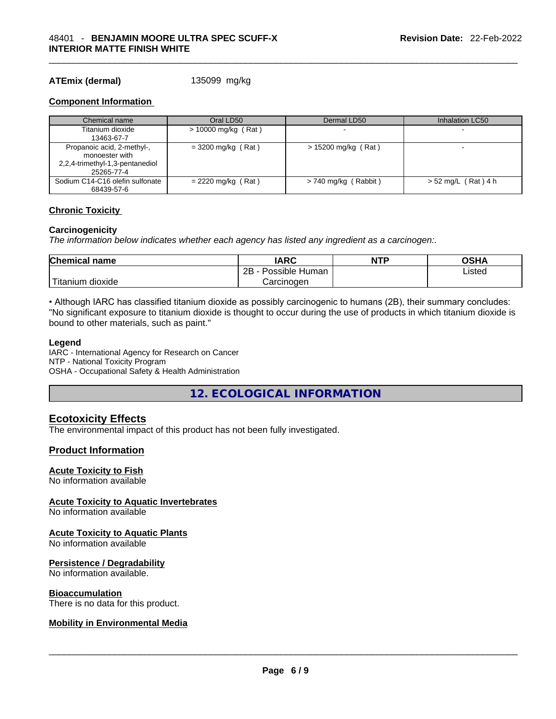#### **ATEmix (dermal)** 135099 mg/kg

#### **Component Information**

| Chemical name                                                                                 | Oral LD50             | Dermal LD50            | Inhalation LC50       |
|-----------------------------------------------------------------------------------------------|-----------------------|------------------------|-----------------------|
| Titanium dioxide                                                                              | $> 10000$ mg/kg (Rat) |                        |                       |
| 13463-67-7                                                                                    |                       |                        |                       |
| Propanoic acid, 2-methyl-,<br>monoester with<br>2,2,4-trimethyl-1,3-pentanediol<br>25265-77-4 | $= 3200$ mg/kg (Rat)  | $> 15200$ mg/kg (Rat)  |                       |
| Sodium C14-C16 olefin sulfonate<br>68439-57-6                                                 | $= 2220$ mg/kg (Rat)  | $> 740$ mg/kg (Rabbit) | $> 52$ mg/L (Rat) 4 h |

#### **Chronic Toxicity**

#### **Carcinogenicity**

*The information below indicates whether each agency has listed any ingredient as a carcinogen:.* 

| <b>Chemical name</b>    | <b>IARC</b>          | <b>NTP</b> | OSHA   |
|-------------------------|----------------------|------------|--------|
|                         | 2B<br>Possible Human |            | Listed |
| ' Titanium 、<br>dioxide | Carcinoɑen           |            |        |

• Although IARC has classified titanium dioxide as possibly carcinogenic to humans (2B), their summary concludes: "No significant exposure to titanium dioxide is thought to occur during the use of products in which titanium dioxide is bound to other materials, such as paint."

#### **Legend**

IARC - International Agency for Research on Cancer NTP - National Toxicity Program OSHA - Occupational Safety & Health Administration

**12. ECOLOGICAL INFORMATION** 

#### **Ecotoxicity Effects**

The environmental impact of this product has not been fully investigated.

#### **Product Information**

#### **Acute Toxicity to Fish**

No information available

#### **Acute Toxicity to Aquatic Invertebrates**

No information available

#### **Acute Toxicity to Aquatic Plants**

No information available

#### **Persistence / Degradability**

No information available.

#### **Bioaccumulation**

# There is no data for this product. \_\_\_\_\_\_\_\_\_\_\_\_\_\_\_\_\_\_\_\_\_\_\_\_\_\_\_\_\_\_\_\_\_\_\_\_\_\_\_\_\_\_\_\_\_\_\_\_\_\_\_\_\_\_\_\_\_\_\_\_\_\_\_\_\_\_\_\_\_\_\_\_\_\_\_\_\_\_\_\_\_\_\_\_\_\_\_\_\_\_\_\_\_ **Mobility in Environmental Media**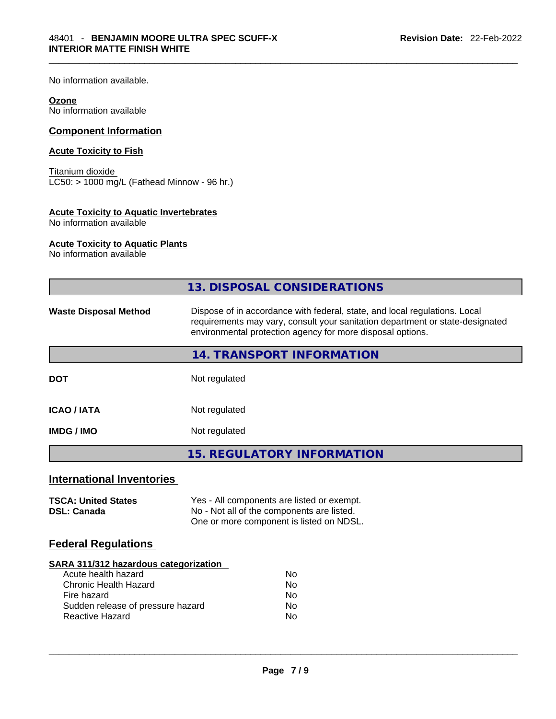No information available.

#### **Ozone**

No information available

#### **Component Information**

#### **Acute Toxicity to Fish**

Titanium dioxide LC50: > 1000 mg/L (Fathead Minnow - 96 hr.)

#### **Acute Toxicity to Aquatic Invertebrates**

No information available

#### **Acute Toxicity to Aquatic Plants**

No information available

|                                                  | 13. DISPOSAL CONSIDERATIONS                                                                                                                                                                                               |
|--------------------------------------------------|---------------------------------------------------------------------------------------------------------------------------------------------------------------------------------------------------------------------------|
| <b>Waste Disposal Method</b>                     | Dispose of in accordance with federal, state, and local regulations. Local<br>requirements may vary, consult your sanitation department or state-designated<br>environmental protection agency for more disposal options. |
|                                                  | 14. TRANSPORT INFORMATION                                                                                                                                                                                                 |
| <b>DOT</b>                                       | Not regulated                                                                                                                                                                                                             |
| <b>ICAO / IATA</b>                               | Not regulated                                                                                                                                                                                                             |
| <b>IMDG / IMO</b>                                | Not regulated                                                                                                                                                                                                             |
|                                                  | <b>15. REGULATORY INFORMATION</b>                                                                                                                                                                                         |
| <b>International Inventories</b>                 |                                                                                                                                                                                                                           |
| <b>TSCA: United States</b><br><b>DSL: Canada</b> | Yes - All components are listed or exempt.<br>No - Not all of the components are listed.<br>One or more component is listed on NDSL.                                                                                      |
| <b>Federal Regulations</b>                       |                                                                                                                                                                                                                           |
|                                                  |                                                                                                                                                                                                                           |

#### **SARA 311/312 hazardous categorization**

| Acute health hazard               | No |
|-----------------------------------|----|
| Chronic Health Hazard             | Nο |
| Fire hazard                       | No |
| Sudden release of pressure hazard | Nο |
| Reactive Hazard                   | N٥ |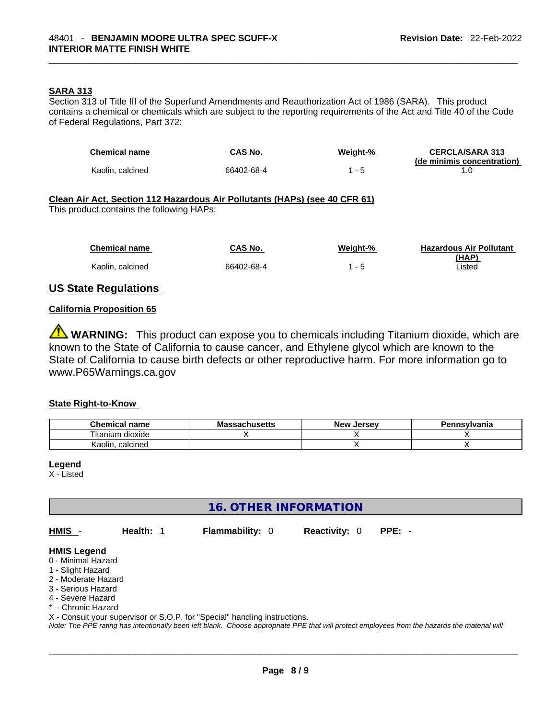#### **SARA 313**

Section 313 of Title III of the Superfund Amendments and Reauthorization Act of 1986 (SARA). This product contains a chemical or chemicals which are subject to the reporting requirements of the Act and Title 40 of the Code of Federal Regulations, Part 372:

| <b>Chemical name</b>                                                                                                    | CAS No.    | Weight-% | <b>CERCLA/SARA 313</b><br>(de minimis concentration) |  |
|-------------------------------------------------------------------------------------------------------------------------|------------|----------|------------------------------------------------------|--|
| Kaolin, calcined                                                                                                        | 66402-68-4 | $1 - 5$  | 1.0                                                  |  |
| Clean Air Act, Section 112 Hazardous Air Pollutants (HAPs) (see 40 CFR 61)<br>This product contains the following HAPs: |            |          |                                                      |  |
| <b>Chemical name</b>                                                                                                    | CAS No.    | Weight-% | <b>Hazardous Air Pollutant</b><br>(HAP)              |  |
| Kaolin, calcined                                                                                                        | 66402-68-4 | $1 - 5$  | ∟isted                                               |  |

#### **US State Regulations**

#### **California Proposition 65**

**WARNING:** This product can expose you to chemicals including Titanium dioxide, which are known to the State of California to cause cancer, and Ethylene glycol which are known to the State of California to cause birth defects or other reproductive harm. For more information go to www.P65Warnings.ca.gov

#### **State Right-to-Know**

| <b>Chemical</b><br>l name | <b>Massachusetts</b> | New<br>. Jersev | Pennsylvania |
|---------------------------|----------------------|-----------------|--------------|
| ⊺itanium<br>dioxide       |                      |                 |              |
| Kaolin.<br>calcined       |                      |                 |              |

**Legend**

X - Listed

**16. OTHER INFORMATION** 

**HMIS** - **Health:** 1 **Flammability:** 0 **Reactivity:** 0 **PPE:** -

#### **HMIS Legend**

- 0 Minimal Hazard
- 1 Slight Hazard
- 2 Moderate Hazard
- 3 Serious Hazard
- 4 Severe Hazard
- \* Chronic Hazard
- X Consult your supervisor or S.O.P. for "Special" handling instructions.

Note: The PPE rating has intentionally been left blank. Choose appropriate PPE that will protect employees from the hazards the material will